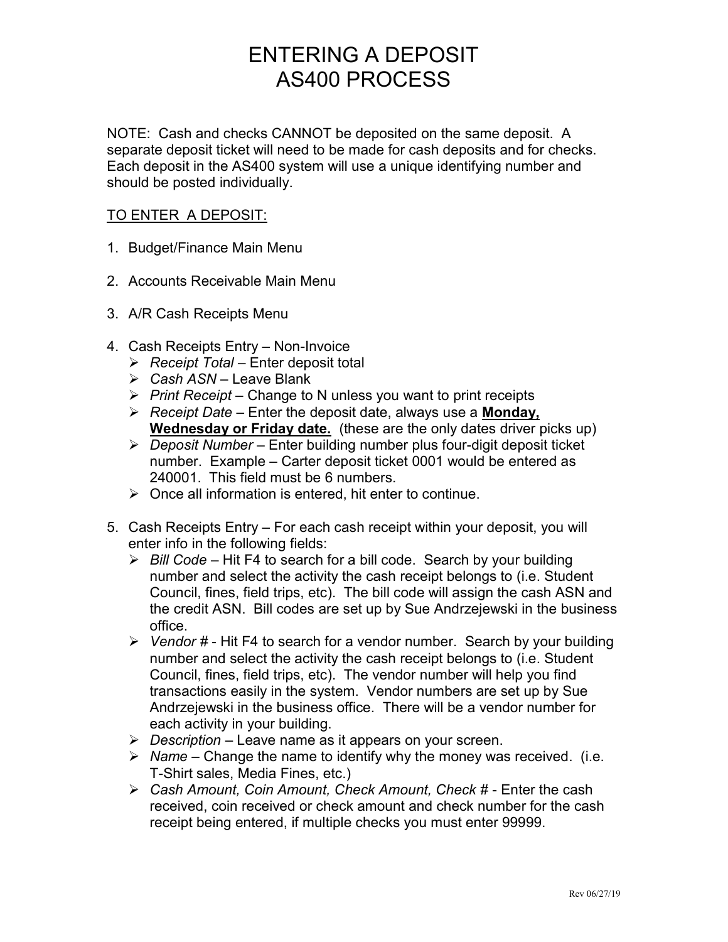# ENTERING A DEPOSIT AS400 PROCESS

NOTE: Cash and checks CANNOT be deposited on the same deposit. A separate deposit ticket will need to be made for cash deposits and for checks. Each deposit in the AS400 system will use a unique identifying number and should be posted individually.

### TO ENTER A DEPOSIT:

- 1. Budget/Finance Main Menu
- 2. Accounts Receivable Main Menu
- 3. A/R Cash Receipts Menu
- 4. Cash Receipts Entry Non-Invoice
	- $\triangleright$  Receipt Total Enter deposit total
	- $\triangleright$  Cash ASN Leave Blank
	- $\triangleright$  Print Receipt Change to N unless you want to print receipts
	- $\triangleright$  Receipt Date Enter the deposit date, always use a Monday, Wednesday or Friday date. (these are the only dates driver picks up)
	- $\triangleright$  Deposit Number Enter building number plus four-digit deposit ticket number. Example – Carter deposit ticket 0001 would be entered as 240001. This field must be 6 numbers.
	- $\triangleright$  Once all information is entered, hit enter to continue.
- 5. Cash Receipts Entry For each cash receipt within your deposit, you will enter info in the following fields:
	- $\triangleright$  Bill Code Hit F4 to search for a bill code. Search by your building number and select the activity the cash receipt belongs to (i.e. Student Council, fines, field trips, etc). The bill code will assign the cash ASN and the credit ASN. Bill codes are set up by Sue Andrzejewski in the business office.
	- $\triangleright$  Vendor # Hit F4 to search for a vendor number. Search by your building number and select the activity the cash receipt belongs to (i.e. Student Council, fines, field trips, etc). The vendor number will help you find transactions easily in the system. Vendor numbers are set up by Sue Andrzejewski in the business office. There will be a vendor number for each activity in your building.
	- $\triangleright$  Description Leave name as it appears on your screen.
	- $\triangleright$  Name Change the name to identify why the money was received. (i.e. T-Shirt sales, Media Fines, etc.)
	- Cash Amount, Coin Amount, Check Amount, Check # Enter the cash received, coin received or check amount and check number for the cash receipt being entered, if multiple checks you must enter 99999.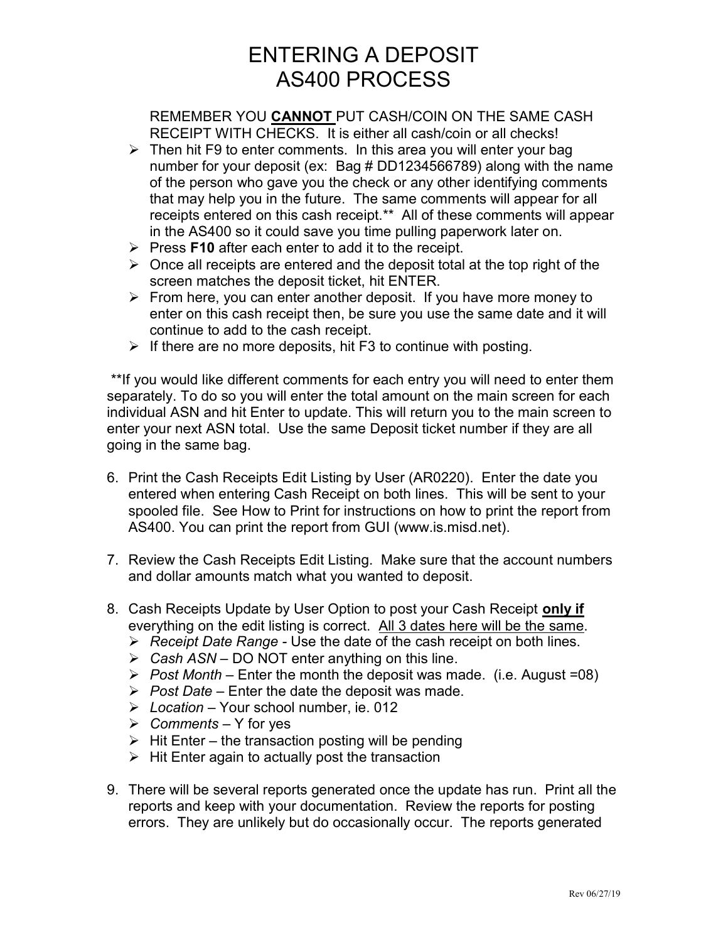# ENTERING A DEPOSIT AS400 PROCESS

REMEMBER YOU CANNOT PUT CASH/COIN ON THE SAME CASH RECEIPT WITH CHECKS. It is either all cash/coin or all checks!

- $\triangleright$  Then hit F9 to enter comments. In this area you will enter your bag number for your deposit (ex: Bag # DD1234566789) along with the name of the person who gave you the check or any other identifying comments that may help you in the future. The same comments will appear for all receipts entered on this cash receipt.\*\* All of these comments will appear in the AS400 so it could save you time pulling paperwork later on.
- $\triangleright$  Press F10 after each enter to add it to the receipt.
- $\triangleright$  Once all receipts are entered and the deposit total at the top right of the screen matches the deposit ticket, hit ENTER.
- $\triangleright$  From here, you can enter another deposit. If you have more money to enter on this cash receipt then, be sure you use the same date and it will continue to add to the cash receipt.
- $\triangleright$  If there are no more deposits, hit F3 to continue with posting.

 \*\*If you would like different comments for each entry you will need to enter them separately. To do so you will enter the total amount on the main screen for each individual ASN and hit Enter to update. This will return you to the main screen to enter your next ASN total. Use the same Deposit ticket number if they are all going in the same bag.

- 6. Print the Cash Receipts Edit Listing by User (AR0220). Enter the date you entered when entering Cash Receipt on both lines. This will be sent to your spooled file. See How to Print for instructions on how to print the report from AS400. You can print the report from GUI (www.is.misd.net).
- 7. Review the Cash Receipts Edit Listing. Make sure that the account numbers and dollar amounts match what you wanted to deposit.
- 8. Cash Receipts Update by User Option to post your Cash Receipt only if everything on the edit listing is correct. All 3 dates here will be the same.
	- $\triangleright$  Receipt Date Range Use the date of the cash receipt on both lines.
	- $\triangleright$  Cash ASN DO NOT enter anything on this line.
	- $\triangleright$  Post Month Enter the month the deposit was made. (i.e. August =08)
	- $\triangleright$  Post Date Enter the date the deposit was made.
	- $\triangleright$  Location Your school number, ie. 012
	- $\triangleright$  Comments Y for yes
	- $\triangleright$  Hit Enter the transaction posting will be pending
	- $\triangleright$  Hit Enter again to actually post the transaction
- 9. There will be several reports generated once the update has run. Print all the reports and keep with your documentation. Review the reports for posting errors. They are unlikely but do occasionally occur. The reports generated